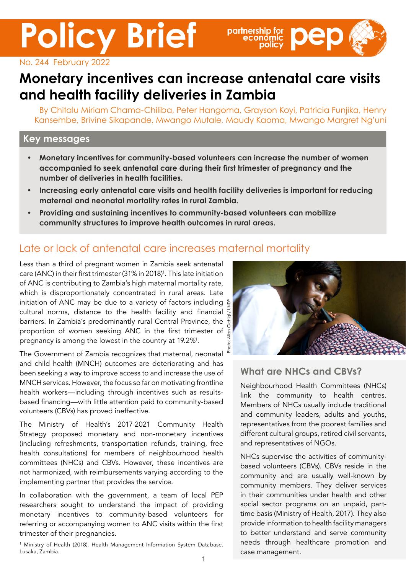**Policy Brief**



No. 244 February 2022

# **Monetary incentives can increase antenatal care visits and health facility deliveries in Zambia**

By Chitalu Miriam Chama-Chiliba, Peter Hangoma, Grayson Koyi, Patricia Funjika, Henry Kansembe, Brivine Sikapande, Mwango Mutale, Maudy Kaoma, Mwango Margret Ng'uni

#### **Key messages**

- **• Monetary incentives for community-based volunteers can increase the number of women accompanied to seek antenatal care during their first trimester of pregnancy and the number of deliveries in health facilities.**
- **• Increasing early antenatal care visits and health facility deliveries is important for reducing maternal and neonatal mortality rates in rural Zambia.**
- **• Providing and sustaining incentives to community-based volunteers can mobilize community structures to improve health outcomes in rural areas.**

### Late or lack of antenatal care increases maternal mortality

Less than a third of pregnant women in Zambia seek antenatal care (ANC) in their first trimester (31% in 2018)<sup>1</sup>. This late initiation of ANC is contributing to Zambia's high maternal mortality rate, which is disproportionately concentrated in rural areas. Late initiation of ANC may be due to a variety of factors including cultural norms, distance to the health facility and financial barriers. In Zambia's predominantly rural Central Province, the  $\frac{5}{6}$ proportion of women seeking ANC in the first trimester of  $\frac{8}{5}$ pregnancy is among the lowest in the country at 19.2%<sup>1</sup>.

The Government of Zambia recognizes that maternal, neonatal and child health (MNCH) outcomes are deteriorating and has been seeking a way to improve access to and increase the use of MNCH services. However, the focus so far on motivating frontline health workers—including through incentives such as resultsbased financing—with little attention paid to community-based volunteers (CBVs) has proved ineffective.

The Ministry of Health's 2017-2021 Community Health Strategy proposed monetary and non-monetary incentives (including refreshments, transportation refunds, training, free health consultations) for members of neighbourhood health committees (NHCs) and CBVs. However, these incentives are not harmonized, with reimbursements varying according to the implementing partner that provides the service.

In collaboration with the government, a team of local PEP researchers sought to understand the impact of providing monetary incentives to community-based volunteers for referring or accompanying women to ANC visits within the first trimester of their pregnancies.

1 Ministry of Health (2018). Health Management Information System Database. Lusaka, Zambia.



#### **What are NHCs and CBVs?**

Neighbourhood Health Committees (NHCs) link the community to health centres. Members of NHCs usually include traditional and community leaders, adults and youths, representatives from the poorest families and different cultural groups, retired civil servants, and representatives of NGOs.

NHCs supervise the activities of communitybased volunteers (CBVs). CBVs reside in the community and are usually well-known by community members. They deliver services in their communities under health and other social sector programs on an unpaid, parttime basis (Ministry of Health, 2017). They also provide information to health facility managers to better understand and serve community needs through healthcare promotion and case management.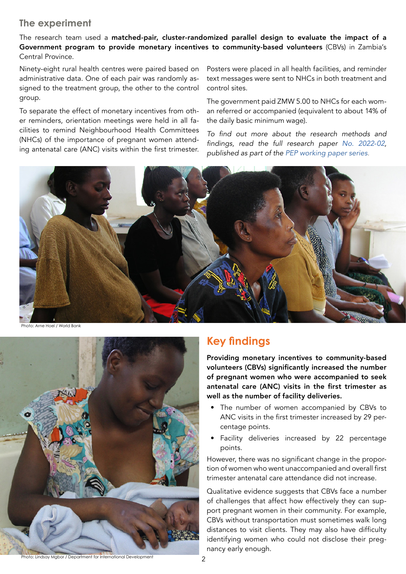#### **The experiment**

The research team used a matched-pair, cluster-randomized parallel design to evaluate the impact of a Government program to provide monetary incentives to community-based volunteers (CBVs) in Zambia's Central Province.

Ninety-eight rural health centres were paired based on administrative data. One of each pair was randomly assigned to the treatment group, the other to the control group.

To separate the effect of monetary incentives from other reminders, orientation meetings were held in all facilities to remind Neighbourhood Health Committees (NHCs) of the importance of pregnant women attending antenatal care (ANC) visits within the first trimester.

Posters were placed in all health facilities, and reminder text messages were sent to NHCs in both treatment and control sites.

The government paid ZMW 5.00 to NHCs for each woman referred or accompanied (equivalent to about 14% of the daily basic minimum wage).

To find out more about the research methods and findings, read the full research paper *[No. 2022-02](https://portal.pep-net.org/document/download/37048)*, published as part of the [PEP working paper series](https://www.pep-net.org/working-papers)*.*





## **Key findings**

Providing monetary incentives to community-based volunteers (CBVs) significantly increased the number of pregnant women who were accompanied to seek antenatal care (ANC) visits in the first trimester as well as the number of facility deliveries.

- The number of women accompanied by CBVs to ANC visits in the first trimester increased by 29 percentage points.
- Facility deliveries increased by 22 percentage points.

However, there was no significant change in the proportion of women who went unaccompanied and overall first trimester antenatal care attendance did not increase.

Qualitative evidence suggests that CBVs face a number of challenges that affect how effectively they can support pregnant women in their community. For example, CBVs without transportation must sometimes walk long distances to visit clients. They may also have difficulty identifying women who could not disclose their pregnancy early enough.

Photo: Lindsay Mgbor / Department for International Development